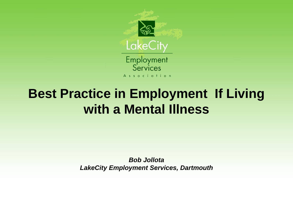

#### **Best Practice in Employment If Living with a Mental Illness**

*Bob Jollota LakeCity Employment Services, Dartmouth*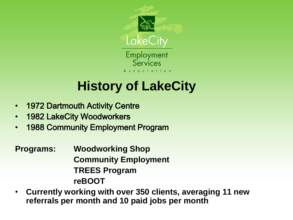

#### **History of LakeCity**

- 1972 Dartmouth Activity Centre
- 1982 LakeCity Woodworkers
- 1988 Community Employment Program

**Programs: Woodworking Shop Community Employment TREES Program reBOOT**

• **Currently working with over 350 clients, averaging 11 new referrals per month and 10 paid jobs per month**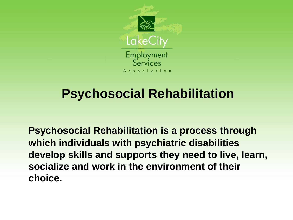

#### **Psychosocial Rehabilitation**

 **Psychosocial Rehabilitation is a process through which individuals with psychiatric disabilities develop skills and supports they need to live, learn, socialize and work in the environment of their choice.**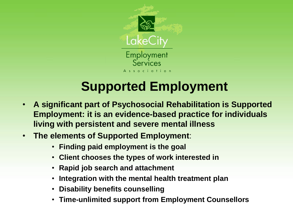

#### **Supported Employment**

- **A significant part of Psychosocial Rehabilitation is Supported Employment: it is an evidence-based practice for individuals living with persistent and severe mental illness**
- **The elements of Supported Employment**:
	- **Finding paid employment is the goal**
	- **Client chooses the types of work interested in**
	- **Rapid job search and attachment**
	- **Integration with the mental health treatment plan**
	- **Disability benefits counselling**
	- **Time-unlimited support from Employment Counsellors**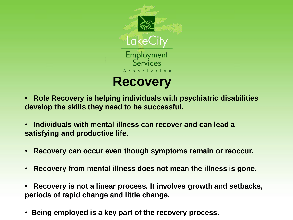

- • **Role Recovery is helping individuals with psychiatric disabilities develop the skills they need to be successful.**
- • **Individuals with mental illness can recover and can lead a satisfying and productive life.**
- • **Recovery can occur even though symptoms remain or reoccur.**
- • **Recovery from mental illness does not mean the illness is gone.**
- • **Recovery is not a linear process. It involves growth and setbacks, periods of rapid change and little change.**
- • **Being employed is a key part of the recovery process.**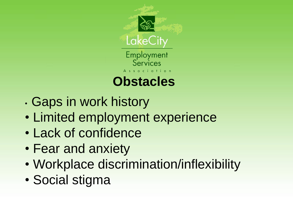

• Gaps in work history

- Limited employment experience
- Lack of confidence
- Fear and anxiety
- Workplace discrimination/inflexibility
- Social stigma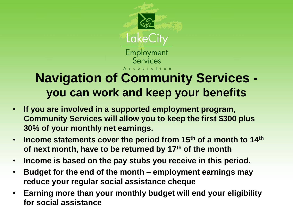

#### **Navigation of Community Services you can work and keep your benefits**

- **If you are involved in a supported employment program, Community Services will allow you to keep the first \$300 plus 30% of your monthly net earnings.**
- **Income statements cover the period from 15th of a month to 14th of next month, have to be returned by 17th of the month**
- **Income is based on the pay stubs you receive in this period.**
- **Budget for the end of the month – employment earnings may reduce your regular social assistance cheque**
- **Earning more than your monthly budget will end your eligibility for social assistance**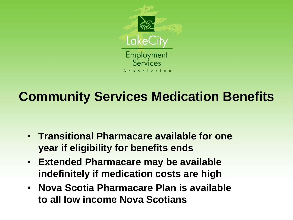

#### **Community Services Medication Benefits**

- **Transitional Pharmacare available for one year if eligibility for benefits ends**
- **Extended Pharmacare may be available indefinitely if medication costs are high**
- **Nova Scotia Pharmacare Plan is available to all low income Nova Scotians**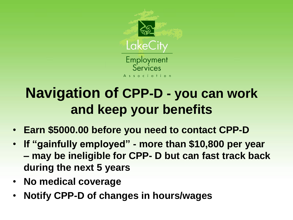

## **Navigation of CPP-D - you can work and keep your benefits**

- **Earn \$5000.00 before you need to contact CPP-D**
- **If "gainfully employed" - more than \$10,800 per year – may be ineligible for CPP- D but can fast track back during the next 5 years**
- **No medical coverage**
- **Notify CPP-D of changes in hours/wages**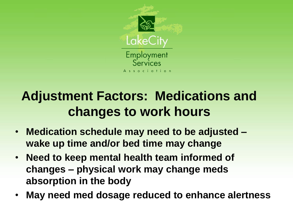

#### **Adjustment Factors: Medications and changes to work hours**

- **Medication schedule may need to be adjusted – wake up time and/or bed time may change**
- **Need to keep mental health team informed of changes – physical work may change meds absorption in the body**
- **May need med dosage reduced to enhance alertness**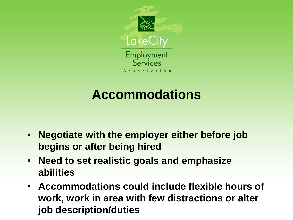

## **Accommodations**

- **Negotiate with the employer either before job begins or after being hired**
- **Need to set realistic goals and emphasize abilities**
- **Accommodations could include flexible hours of work, work in area with few distractions or alter job description/duties**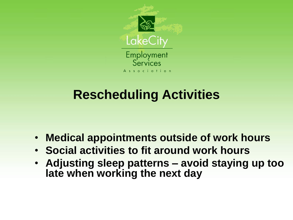

## **Rescheduling Activities**

- **Medical appointments outside of work hours**
- **Social activities to fit around work hours**
- **Adjusting sleep patterns – avoid staying up too late when working the next day**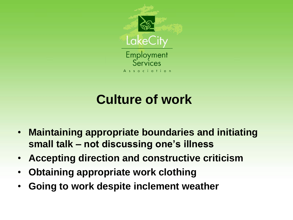

## **Culture of work**

- **Maintaining appropriate boundaries and initiating small talk – not discussing one's illness**
- **Accepting direction and constructive criticism**
- **Obtaining appropriate work clothing**
- **Going to work despite inclement weather**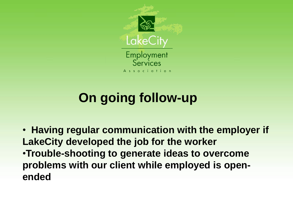

## **On going follow-up**

• **Having regular communication with the employer if LakeCity developed the job for the worker** •**Trouble-shooting to generate ideas to overcome problems with our client while employed is openended**